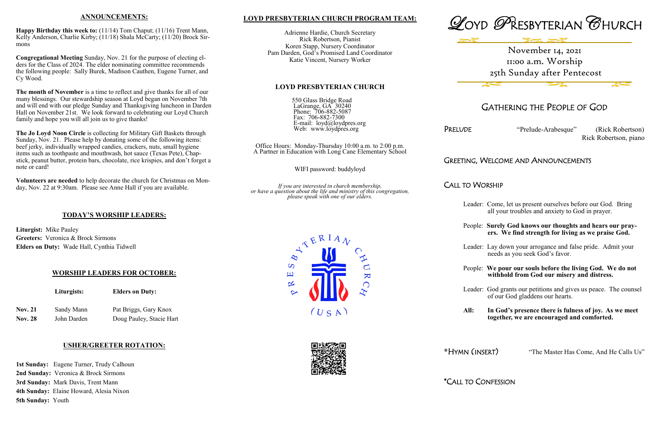### **LOYD PRESBYTERIAN CHURCH PROGRAM TEAM:**

Adrienne Hardie, Church Secretary Rick Robertson, Pianist Koren Stapp, Nursery Coordinator Pam Darden, God's Promised Land Coordinator Katie Vincent, Nursery Worker



550 Glass Bridge Road LaGrange, GA 30240 Phone: 706-882-5087 Fax: 706-882-7300 E-mail: loyd@loydpres.org Web: www.loydpres.org

> Office Hours: Monday-Thursday 10:00 a.m. to 2:00 p.m. A Partner in Education with Long Cane Elementary School

> > WIFI password: buddyloyd

*If you are interested in church membership, or have a question about the life and ministry of this congregation, please speak with one of our elders.*

> $\overline{S}$ 凹

> > $\propto$



## GATHERING THE PEOPLE OF GOD

PRELUDE "Prelude-Arabesque" (Rick Robertson) Rick Robertson, piano

## GREETING, WELCOME AND ANNOUNCEMENTS

### CALL TO WORSHIP

- Leader: Come, let us present ourselves before our God. Bring all your troubles and anxiety to God in prayer.
- People: **Surely God knows our thoughts and hears our pray ers. We find strength for living as we praise God.**
- Leader: Lay down your arrogance and false pride. Admit your needs as you seek God's favor.
- People: **We pour our souls before the living God. We do not withhold from God our misery and distress.**
- Leader: God grants our petitions and gives us peace. The counsel of our God gladdens our hearts.
- **All: In God's presence there is fulness of joy. As we meet together, we are encouraged and comforted.**
- **\***HYMN (INSERT) "The Master Has Come, And He Calls Us"

\*CALL TO CONFESSION



 $(U S A)$ 

 $\overline{\mathbf{K}}$ 







#### **ANNOUNCEMENTS:**

**Happy Birthday this week to:** (11/14) Tom Chaput; (11/16) Trent Mann, Kelly Anderson, Charlie Kirby; (11/18) Shala McCarty; (11/20) Brock Sirmons

**Congregational Meeting** Sunday, Nov. 21 for the purpose of electing elders for the Class of 2024. The elder nominating committee recommends the following people: Sally Burek, Madison Cauthen, Eugene Turner, and Cy Wood.

**The month of November** is a time to reflect and give thanks for all of our many blessings. Our stewardship season at Loyd began on November 7th and will end with our pledge Sunday and Thanksgiving luncheon in Darden Hall on November 21st. We look forward to celebrating our Loyd Church family and hope you will all join us to give thanks!

**The Jo Loyd Noon Circle** is collecting for Military Gift Baskets through Sunday, Nov. 21. Please help by donating some of the following items: beef jerky, individually wrapped candies, crackers, nuts, small hygiene items such as toothpaste and mouthwash, hot sauce (Texas Pete), Chapstick, peanut butter, protein bars, chocolate, rice krispies, and don't forget a note or card!

**Volunteers are needed** to help decorate the church for Christmas on Monday, Nov. 22 at 9:30am. Please see Anne Hall if you are available.

### **TODAY'S WORSHIP LEADERS:**

**Liturgist:** Mike Pauley **Greeters:** Veronica & Brock Sirmons **Elders on Duty:** Wade Hall, Cynthia Tidwell

### **WORSHIP LEADERS FOR OCTOBER:**

**Liturgists: Elders on Duty:**

| <b>Nov. 21</b> | Sandy Mann  | Pat Briggs, Gary Knox    |  |  |
|----------------|-------------|--------------------------|--|--|
| <b>Nov. 28</b> | John Darden | Doug Pauley, Stacie Hart |  |  |

### **USHER/GREETER ROTATION:**

**1st Sunday:** Eugene Turner, Trudy Calhoun **2nd Sunday:** Veronica & Brock Sirmons **3rd Sunday:** Mark Davis, Trent Mann **4th Sunday:** Elaine Howard, Alesia Nixon **5th Sunday:** Youth

# November 14, 2021 11:00 a.m. Worship 25th Sunday after Pentecost